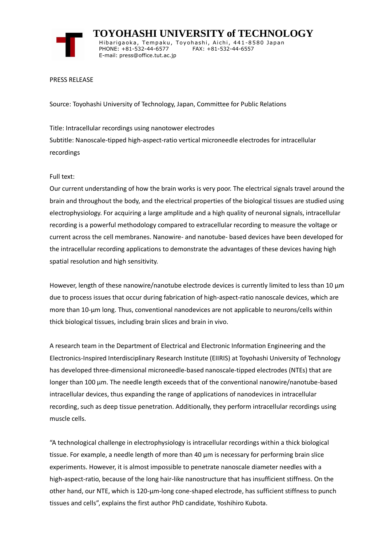

 **TOYOHASHI UNIVERSITY of TECHNOLOGY** Hibarigaoka, Tempaku, Toyohashi, Aichi, 441-8580 Japan PHONE: +81-532-44-6577 FAX: +81-532-44-6557 E-mail: press@office.tut.ac.jp

## PRESS RELEASE

Source: Toyohashi University of Technology, Japan, Committee for Public Relations

Title: Intracellular recordings using nanotower electrodes Subtitle: Nanoscale-tipped high-aspect-ratio vertical microneedle electrodes for intracellular recordings

## Full text:

Our current understanding of how the brain works is very poor. The electrical signals travel around the brain and throughout the body, and the electrical properties of the biological tissues are studied using electrophysiology. For acquiring a large amplitude and a high quality of neuronal signals, intracellular recording is a powerful methodology compared to extracellular recording to measure the voltage or current across the cell membranes. Nanowire- and nanotube- based devices have been developed for the intracellular recording applications to demonstrate the advantages of these devices having high spatial resolution and high sensitivity.

However, length of these nanowire/nanotube electrode devices is currently limited to less than 10  $\mu$ m due to process issues that occur during fabrication of high-aspect-ratio nanoscale devices, which are more than 10-µm long. Thus, conventional nanodevices are not applicable to neurons/cells within thick biological tissues, including brain slices and brain in vivo.

A research team in the Department of Electrical and Electronic Information Engineering and the Electronics-Inspired Interdisciplinary Research Institute (EIIRIS) at Toyohashi University of Technology has developed three-dimensional microneedle-based nanoscale-tipped electrodes (NTEs) that are longer than 100 µm. The needle length exceeds that of the conventional nanowire/nanotube-based intracellular devices, thus expanding the range of applications of nanodevices in intracellular recording, such as deep tissue penetration. Additionally, they perform intracellular recordings using muscle cells.

"A technological challenge in electrophysiology is intracellular recordings within a thick biological tissue. For example, a needle length of more than 40  $\mu$ m is necessary for performing brain slice experiments. However, it is almost impossible to penetrate nanoscale diameter needles with a high-aspect-ratio, because of the long hair-like nanostructure that has insufficient stiffness. On the other hand, our NTE, which is 120-µm-long cone-shaped electrode, has sufficient stiffness to punch tissues and cells", explains the first author PhD candidate, Yoshihiro Kubota.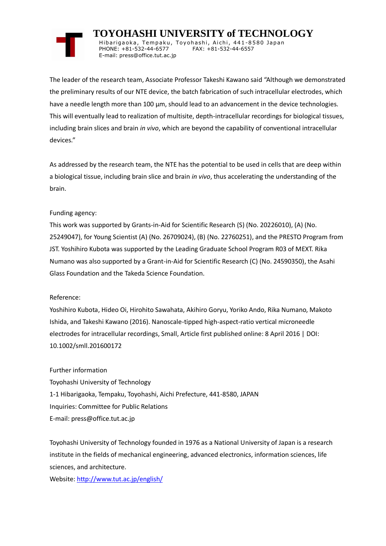# **TOYOHASHI UNIVERSITY of TECHNOLOGY**

Hibarigaoka, Tempaku, Toyohashi, Aichi, 441-8580 Japan PHONE: +81-532-44-6577 FAX: +81-532-44-6557 E-mail: press@office.tut.ac.jp

The leader of the research team, Associate Professor Takeshi Kawano said "Although we demonstrated the preliminary results of our NTE device, the batch fabrication of such intracellular electrodes, which have a needle length more than 100 µm, should lead to an advancement in the device technologies. This will eventually lead to realization of multisite, depth-intracellular recordings for biological tissues, including brain slices and brain *in vivo*, which are beyond the capability of conventional intracellular devices."

As addressed by the research team, the NTE has the potential to be used in cells that are deep within a biological tissue, including brain slice and brain *in vivo*, thus accelerating the understanding of the brain.

# Funding agency:

This work was supported by Grants-in-Aid for Scientific Research (S) (No. 20226010), (A) (No. 25249047), for Young Scientist (A) (No. 26709024), (B) (No. 22760251), and the PRESTO Program from JST. Yoshihiro Kubota was supported by the Leading Graduate School Program R03 of MEXT. Rika Numano was also supported by a Grant-in-Aid for Scientific Research (C) (No. 24590350), the Asahi Glass Foundation and the Takeda Science Foundation.

# Reference:

Yoshihiro Kubota, Hideo Oi, Hirohito Sawahata, Akihiro Goryu, Yoriko Ando, Rika Numano, Makoto Ishida, and Takeshi Kawano (2016). Nanoscale-tipped high-aspect-ratio vertical microneedle electrodes for intracellular recordings, Small, Article first published online: 8 April 2016 | DOI: 10.1002/smll.201600172

Further information Toyohashi University of Technology 1-1 Hibarigaoka, Tempaku, Toyohashi, Aichi Prefecture, 441-8580, JAPAN Inquiries: Committee for Public Relations E-mail: press@office.tut.ac.jp

Toyohashi University of Technology founded in 1976 as a National University of Japan is a research institute in the fields of mechanical engineering, advanced electronics, information sciences, life sciences, and architecture.

Website[: http://www.tut.ac.jp/english/](https://www.tut.ac.jp/english/)